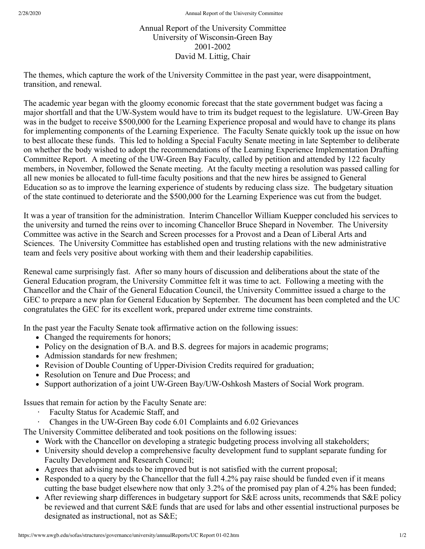## Annual Report of the University Committee University of Wisconsin-Green Bay 2001-2002 David M. Littig, Chair

The themes, which capture the work of the University Committee in the past year, were disappointment, transition, and renewal.

The academic year began with the gloomy economic forecast that the state government budget was facing a major shortfall and that the UW-System would have to trim its budget request to the legislature. UW-Green Bay was in the budget to receive \$500,000 for the Learning Experience proposal and would have to change its plans for implementing components of the Learning Experience. The Faculty Senate quickly took up the issue on how to best allocate these funds. This led to holding a Special Faculty Senate meeting in late September to deliberate on whether the body wished to adopt the recommendations of the Learning Experience Implementation Drafting Committee Report. A meeting of the UW-Green Bay Faculty, called by petition and attended by 122 faculty members, in November, followed the Senate meeting. At the faculty meeting a resolution was passed calling for all new monies be allocated to full-time faculty positions and that the new hires be assigned to General Education so as to improve the learning experience of students by reducing class size. The budgetary situation of the state continued to deteriorate and the \$500,000 for the Learning Experience was cut from the budget.

It was a year of transition for the administration. Interim Chancellor William Kuepper concluded his services to the university and turned the reins over to incoming Chancellor Bruce Shepard in November. The University Committee was active in the Search and Screen processes for a Provost and a Dean of Liberal Arts and Sciences. The University Committee has established open and trusting relations with the new administrative team and feels very positive about working with them and their leadership capabilities.

Renewal came surprisingly fast. After so many hours of discussion and deliberations about the state of the General Education program, the University Committee felt it was time to act. Following a meeting with the Chancellor and the Chair of the General Education Council, the University Committee issued a charge to the GEC to prepare a new plan for General Education by September. The document has been completed and the UC congratulates the GEC for its excellent work, prepared under extreme time constraints.

In the past year the Faculty Senate took affirmative action on the following issues:

- Changed the requirements for honors;
- Policy on the designation of B.A. and B.S. degrees for majors in academic programs;
- Admission standards for new freshmen;
- Revision of Double Counting of Upper-Division Credits required for graduation;
- Resolution on Tenure and Due Process; and
- Support authorization of a joint UW-Green Bay/UW-Oshkosh Masters of Social Work program.

Issues that remain for action by the Faculty Senate are:

- Faculty Status for Academic Staff, and
- · Changes in the UW-Green Bay code 6.01 Complaints and 6.02 Grievances
- The University Committee deliberated and took positions on the following issues:
	- Work with the Chancellor on developing a strategic budgeting process involving all stakeholders;
	- University should develop a comprehensive faculty development fund to supplant separate funding for Faculty Development and Research Council;
	- Agrees that advising needs to be improved but is not satisfied with the current proposal;
	- Responded to a query by the Chancellor that the full 4.2% pay raise should be funded even if it means cutting the base budget elsewhere now that only 3.2% of the promised pay plan of 4.2% has been funded;
	- After reviewing sharp differences in budgetary support for S&E across units, recommends that S&E policy be reviewed and that current S&E funds that are used for labs and other essential instructional purposes be designated as instructional, not as S&E;